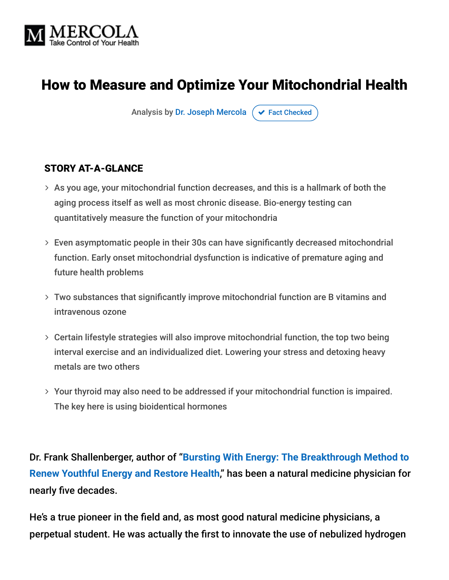

# How to Measure and Optimize Your Mitochondrial Health

Analysis by [Dr. Joseph Mercola](https://www.mercola.com/forms/background.htm)  $\sigma$  [Fact Checked](javascript:void(0))

#### STORY AT-A-GLANCE

- $>$  As you age, your mitochondrial function decreases, and this is a hallmark of both the aging process itself as well as most chronic disease. Bio-energy testing can quantitatively measure the function of your mitochondria
- Even asymptomatic people in their 30s can have significantly decreased mitochondrial function. Early onset mitochondrial dysfunction is indicative of premature aging and future health problems
- Two substances that significantly improve mitochondrial function are B vitamins and intravenous ozone
- Certain lifestyle strategies will also improve mitochondrial function, the top two being interval exercise and an individualized diet. Lowering your stress and detoxing heavy metals are two others
- Your thyroid may also need to be addressed if your mitochondrial function is impaired. The key here is using bioidentical hormones

Dr. Frank Shallenberger, author of "**[Bursting With Energy: The Breakthrough Method to](https://www.amazon.com/Bursting-Energy-Breakthrough-Youthful-Restore/dp/1591201276) Renew Youthful Energy and Restore Health**," has been a natural medicine physician for nearly five decades.

He's a true pioneer in the field and, as most good natural medicine physicians, a perpetual student. He was actually the first to innovate the use of nebulized hydrogen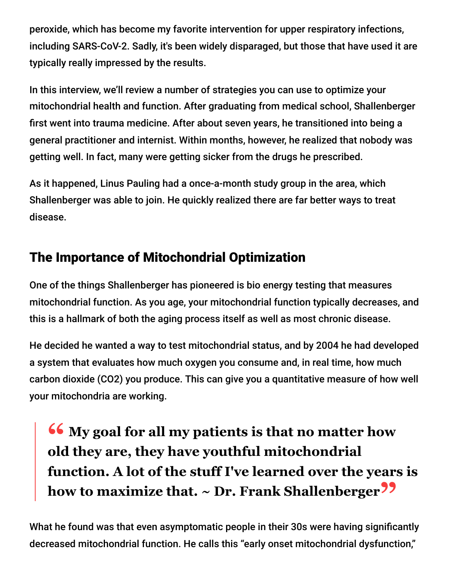peroxide, which has become my favorite intervention for upper respiratory infections, including SARS-CoV-2. Sadly, it's been widely disparaged, but those that have used it are typically really impressed by the results.

In this interview, we'll review a number of strategies you can use to optimize your mitochondrial health and function. After graduating from medical school, Shallenberger first went into trauma medicine. After about seven years, he transitioned into being a general practitioner and internist. Within months, however, he realized that nobody was getting well. In fact, many were getting sicker from the drugs he prescribed.

As it happened, Linus Pauling had a once-a-month study group in the area, which Shallenberger was able to join. He quickly realized there are far better ways to treat disease.

# The Importance of Mitochondrial Optimization

One of the things Shallenberger has pioneered is bio energy testing that measures mitochondrial function. As you age, your mitochondrial function typically decreases, and this is a hallmark of both the aging process itself as well as most chronic disease.

He decided he wanted a way to test mitochondrial status, and by 2004 he had developed a system that evaluates how much oxygen you consume and, in real time, how much carbon dioxide (CO2) you produce. This can give you a quantitative measure of how well your mitochondria are working.

**<sup>66</sup>** My goal for all my patients is that no matter how<br>old they are they have youthful mitochondrial **old they are, they have youthful mitochondrial function. A lot of the stuff I've learned over the years is how to maximize that. ~ Dr. Frank Shallenberger"**

What he found was that even asymptomatic people in their 30s were having significantly decreased mitochondrial function. He calls this "early onset mitochondrial dysfunction,"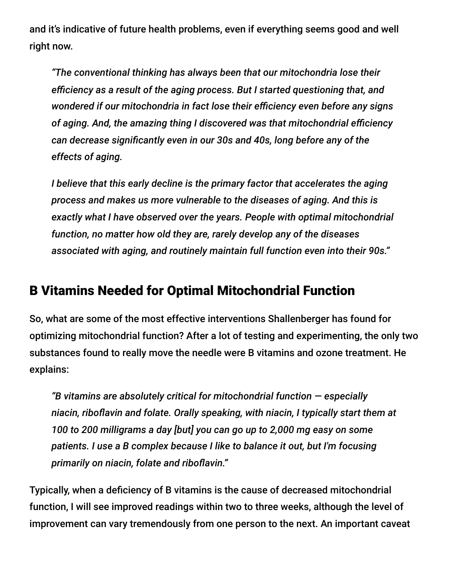and it's indicative of future health problems, even if everything seems good and well right now.

*"The conventional thinking has always been that our mitochondria lose their efficiency as a result of the aging process. But I started questioning that, and wondered if our mitochondria in fact lose their efficiency even before any signs of aging. And, the amazing thing I discovered was that mitochondrial efficiency can decrease significantly even in our 30s and 40s, long before any of the effects of aging.*

*I believe that this early decline is the primary factor that accelerates the aging process and makes us more vulnerable to the diseases of aging. And this is exactly what I have observed over the years. People with optimal mitochondrial function, no matter how old they are, rarely develop any of the diseases associated with aging, and routinely maintain full function even into their 90s."*

#### B Vitamins Needed for Optimal Mitochondrial Function

So, what are some of the most effective interventions Shallenberger has found for optimizing mitochondrial function? After a lot of testing and experimenting, the only two substances found to really move the needle were B vitamins and ozone treatment. He explains:

*"B vitamins are absolutely critical for mitochondrial function — especially niacin, riboflavin and folate. Orally speaking, with niacin, I typically start them at 100 to 200 milligrams a day [but] you can go up to 2,000 mg easy on some patients. I use a B complex because I like to balance it out, but I'm focusing primarily on niacin, folate and riboflavin."*

Typically, when a deficiency of B vitamins is the cause of decreased mitochondrial function, I will see improved readings within two to three weeks, although the level of improvement can vary tremendously from one person to the next. An important caveat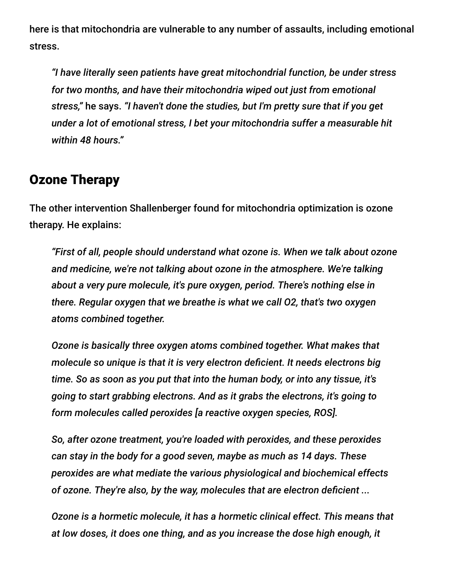here is that mitochondria are vulnerable to any number of assaults, including emotional stress.

*"I have literally seen patients have great mitochondrial function, be under stress for two months, and have their mitochondria wiped out just from emotional stress,"* he says. *"I haven't done the studies, but I'm pretty sure that if you get under a lot of emotional stress, I bet your mitochondria suffer a measurable hit within 48 hours."*

#### Ozone Therapy

The other intervention Shallenberger found for mitochondria optimization is ozone therapy. He explains:

*"First of all, people should understand what ozone is. When we talk about ozone and medicine, we're not talking about ozone in the atmosphere. We're talking about a very pure molecule, it's pure oxygen, period. There's nothing else in there. Regular oxygen that we breathe is what we call O2, that's two oxygen atoms combined together.*

*Ozone is basically three oxygen atoms combined together. What makes that molecule so unique is that it is very electron deficient. It needs electrons big time. So as soon as you put that into the human body, or into any tissue, it's going to start grabbing electrons. And as it grabs the electrons, it's going to form molecules called peroxides [a reactive oxygen species, ROS].*

*So, after ozone treatment, you're loaded with peroxides, and these peroxides can stay in the body for a good seven, maybe as much as 14 days. These peroxides are what mediate the various physiological and biochemical effects of ozone. They're also, by the way, molecules that are electron deficient ...*

*Ozone is a hormetic molecule, it has a hormetic clinical effect. This means that at low doses, it does one thing, and as you increase the dose high enough, it*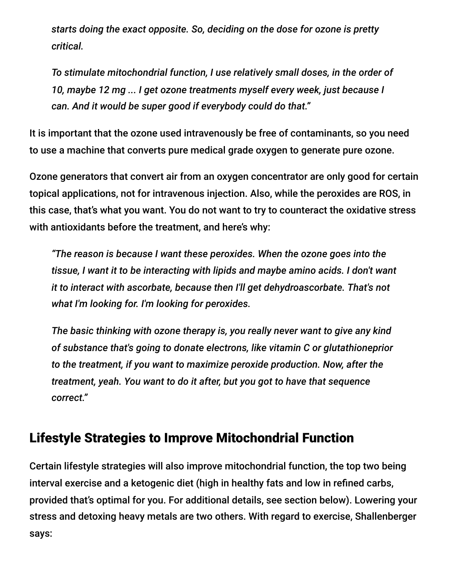*starts doing the exact opposite. So, deciding on the dose for ozone is pretty critical.*

*To stimulate mitochondrial function, I use relatively small doses, in the order of 10, maybe 12 mg ... I get ozone treatments myself every week, just because I can. And it would be super good if everybody could do that."*

It is important that the ozone used intravenously be free of contaminants, so you need to use a machine that converts pure medical grade oxygen to generate pure ozone.

Ozone generators that convert air from an oxygen concentrator are only good for certain topical applications, not for intravenous injection. Also, while the peroxides are ROS, in this case, that's what you want. You do not want to try to counteract the oxidative stress with antioxidants before the treatment, and here's why:

*"The reason is because I want these peroxides. When the ozone goes into the tissue, I want it to be interacting with lipids and maybe amino acids. I don't want it to interact with ascorbate, because then I'll get dehydroascorbate. That's not what I'm looking for. I'm looking for peroxides.*

*The basic thinking with ozone therapy is, you really never want to give any kind of substance that's going to donate electrons, like vitamin C or glutathioneprior to the treatment, if you want to maximize peroxide production. Now, after the treatment, yeah. You want to do it after, but you got to have that sequence correct."*

#### Lifestyle Strategies to Improve Mitochondrial Function

Certain lifestyle strategies will also improve mitochondrial function, the top two being interval exercise and a ketogenic diet (high in healthy fats and low in refined carbs, provided that's optimal for you. For additional details, see section below). Lowering your stress and detoxing heavy metals are two others. With regard to exercise, Shallenberger says: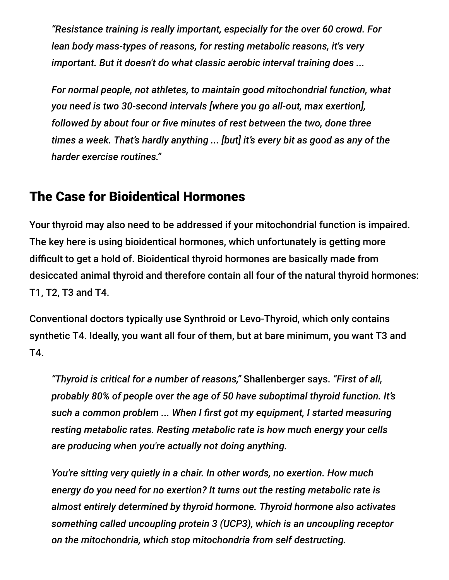*"Resistance training is really important, especially for the over 60 crowd. For lean body mass-types of reasons, for resting metabolic reasons, it's very important. But it doesn't do what classic aerobic interval training does ...*

*For normal people, not athletes, to maintain good mitochondrial function, what you need is two 30-second intervals [where you go all-out, max exertion], followed by about four or five minutes of rest between the two, done three times a week. That's hardly anything ... [but] it's every bit as good as any of the harder exercise routines."*

#### The Case for Bioidentical Hormones

Your thyroid may also need to be addressed if your mitochondrial function is impaired. The key here is using bioidentical hormones, which unfortunately is getting more difficult to get a hold of. Bioidentical thyroid hormones are basically made from desiccated animal thyroid and therefore contain all four of the natural thyroid hormones: T1, T2, T3 and T4.

Conventional doctors typically use Synthroid or Levo-Thyroid, which only contains synthetic T4. Ideally, you want all four of them, but at bare minimum, you want T3 and T4.

*"Thyroid is critical for a number of reasons,"* Shallenberger says. *"First of all, probably 80% of people over the age of 50 have suboptimal thyroid function. It's such a common problem ... When I first got my equipment, I started measuring resting metabolic rates. Resting metabolic rate is how much energy your cells are producing when you're actually not doing anything.*

*You're sitting very quietly in a chair. In other words, no exertion. How much energy do you need for no exertion? It turns out the resting metabolic rate is almost entirely determined by thyroid hormone. Thyroid hormone also activates something called uncoupling protein 3 (UCP3), which is an uncoupling receptor on the mitochondria, which stop mitochondria from self destructing.*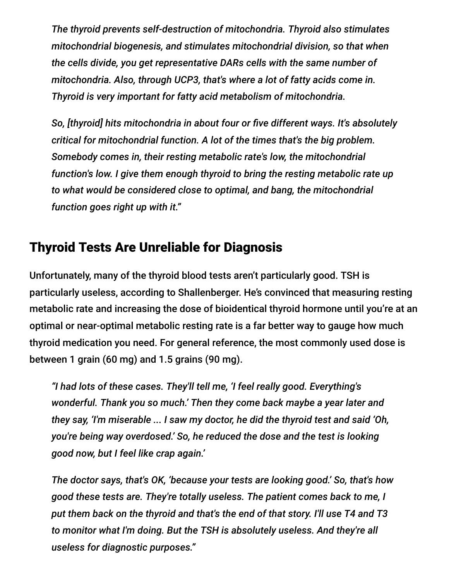*The thyroid prevents self-destruction of mitochondria. Thyroid also stimulates mitochondrial biogenesis, and stimulates mitochondrial division, so that when the cells divide, you get representative DARs cells with the same number of mitochondria. Also, through UCP3, that's where a lot of fatty acids come in. Thyroid is very important for fatty acid metabolism of mitochondria.*

*So, [thyroid] hits mitochondria in about four or five different ways. It's absolutely critical for mitochondrial function. A lot of the times that's the big problem. Somebody comes in, their resting metabolic rate's low, the mitochondrial function's low. I give them enough thyroid to bring the resting metabolic rate up to what would be considered close to optimal, and bang, the mitochondrial function goes right up with it."*

## Thyroid Tests Are Unreliable for Diagnosis

Unfortunately, many of the thyroid blood tests aren't particularly good. TSH is particularly useless, according to Shallenberger. He's convinced that measuring resting metabolic rate and increasing the dose of bioidentical thyroid hormone until you're at an optimal or near-optimal metabolic resting rate is a far better way to gauge how much thyroid medication you need. For general reference, the most commonly used dose is between 1 grain (60 mg) and 1.5 grains (90 mg).

*"I had lots of these cases. They'll tell me, 'I feel really good. Everything's wonderful. Thank you so much.' Then they come back maybe a year later and they say, 'I'm miserable ... I saw my doctor, he did the thyroid test and said 'Oh, you're being way overdosed.' So, he reduced the dose and the test is looking good now, but I feel like crap again.'*

*The doctor says, that's OK, 'because your tests are looking good.' So, that's how good these tests are. They're totally useless. The patient comes back to me, I put them back on the thyroid and that's the end of that story. I'll use T4 and T3 to monitor what I'm doing. But the TSH is absolutely useless. And they're all useless for diagnostic purposes."*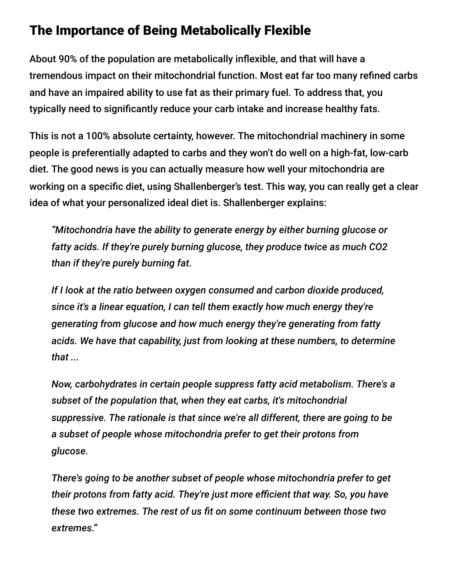## The Importance of Being Metabolically Flexible

About 90% of the population are metabolically inflexible, and that will have a tremendous impact on their mitochondrial function. Most eat far too many refined carbs and have an impaired ability to use fat as their primary fuel. To address that, you typically need to significantly reduce your carb intake and increase healthy fats.

This is not a 100% absolute certainty, however. The mitochondrial machinery in some people is preferentially adapted to carbs and they won't do well on a high-fat, low-carb diet. The good news is you can actually measure how well your mitochondria are working on a specific diet, using Shallenberger's test. This way, you can really get a clear idea of what your personalized ideal diet is. Shallenberger explains:

*"Mitochondria have the ability to generate energy by either burning glucose or fatty acids. If they're purely burning glucose, they produce twice as much CO2 than if they're purely burning fat.*

*If I look at the ratio between oxygen consumed and carbon dioxide produced, since it's a linear equation, I can tell them exactly how much energy they're generating from glucose and how much energy they're generating from fatty acids. We have that capability, just from looking at these numbers, to determine that ...*

*Now, carbohydrates in certain people suppress fatty acid metabolism. There's a subset of the population that, when they eat carbs, it's mitochondrial suppressive. The rationale is that since we're all different, there are going to be a subset of people whose mitochondria prefer to get their protons from glucose.*

*There's going to be another subset of people whose mitochondria prefer to get their protons from fatty acid. They're just more efficient that way. So, you have these two extremes. The rest of us fit on some continuum between those two extremes."*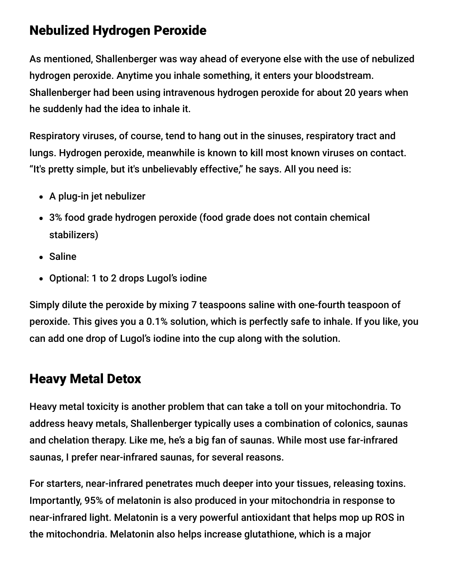## Nebulized Hydrogen Peroxide

As mentioned, Shallenberger was way ahead of everyone else with the use of nebulized hydrogen peroxide. Anytime you inhale something, it enters your bloodstream. Shallenberger had been using intravenous hydrogen peroxide for about 20 years when he suddenly had the idea to inhale it.

Respiratory viruses, of course, tend to hang out in the sinuses, respiratory tract and lungs. Hydrogen peroxide, meanwhile is known to kill most known viruses on contact. "It's pretty simple, but it's unbelievably effective," he says. All you need is:

- A plug-in jet nebulizer
- 3% food grade hydrogen peroxide (food grade does not contain chemical stabilizers)
- Saline
- Optional: 1 to 2 drops Lugol's iodine

Simply dilute the peroxide by mixing 7 teaspoons saline with one-fourth teaspoon of peroxide. This gives you a 0.1% solution, which is perfectly safe to inhale. If you like, you can add one drop of Lugol's iodine into the cup along with the solution.

# Heavy Metal Detox

Heavy metal toxicity is another problem that can take a toll on your mitochondria. To address heavy metals, Shallenberger typically uses a combination of colonics, saunas and chelation therapy. Like me, he's a big fan of saunas. While most use far-infrared saunas, I prefer near-infrared saunas, for several reasons.

For starters, near-infrared penetrates much deeper into your tissues, releasing toxins. Importantly, 95% of melatonin is also produced in your mitochondria in response to near-infrared light. Melatonin is a very powerful antioxidant that helps mop up ROS in the mitochondria. Melatonin also helps increase glutathione, which is a major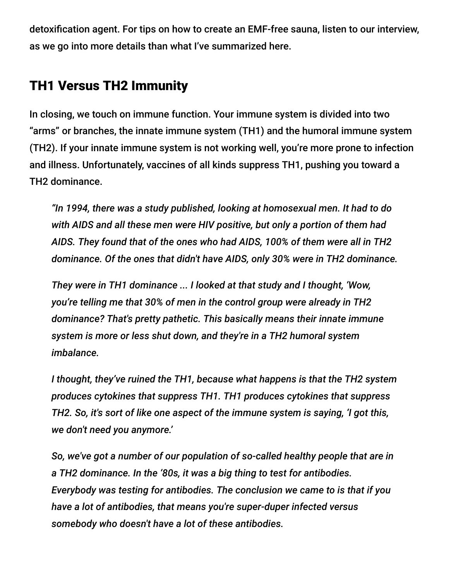detoxification agent. For tips on how to create an EMF-free sauna, listen to our interview, as we go into more details than what I've summarized here.

## TH1 Versus TH2 Immunity

In closing, we touch on immune function. Your immune system is divided into two "arms" or branches, the innate immune system (TH1) and the humoral immune system (TH2). If your innate immune system is not working well, you're more prone to infection and illness. Unfortunately, vaccines of all kinds suppress TH1, pushing you toward a TH2 dominance.

*"In 1994, there was a study published, looking at homosexual men. It had to do with AIDS and all these men were HIV positive, but only a portion of them had AIDS. They found that of the ones who had AIDS, 100% of them were all in TH2 dominance. Of the ones that didn't have AIDS, only 30% were in TH2 dominance.*

*They were in TH1 dominance ... I looked at that study and I thought, 'Wow, you're telling me that 30% of men in the control group were already in TH2 dominance? That's pretty pathetic. This basically means their innate immune system is more or less shut down, and they're in a TH2 humoral system imbalance.*

*I thought, they've ruined the TH1, because what happens is that the TH2 system produces cytokines that suppress TH1. TH1 produces cytokines that suppress TH2. So, it's sort of like one aspect of the immune system is saying, 'I got this, we don't need you anymore.'*

*So, we've got a number of our population of so-called healthy people that are in a TH2 dominance. In the '80s, it was a big thing to test for antibodies. Everybody was testing for antibodies. The conclusion we came to is that if you have a lot of antibodies, that means you're super-duper infected versus somebody who doesn't have a lot of these antibodies.*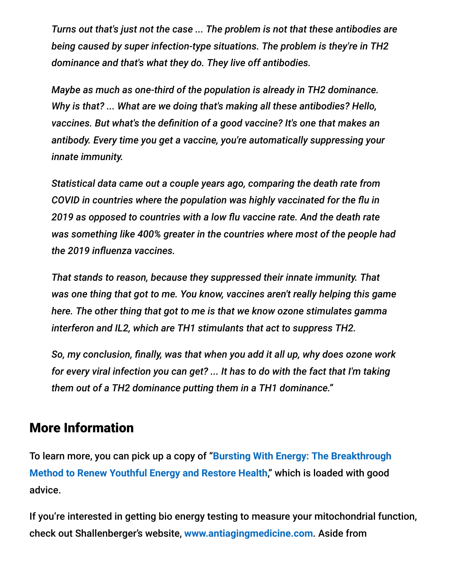*Turns out that's just not the case ... The problem is not that these antibodies are being caused by super infection-type situations. The problem is they're in TH2 dominance and that's what they do. They live off antibodies.*

*Maybe as much as one-third of the population is already in TH2 dominance. Why is that? ... What are we doing that's making all these antibodies? Hello, vaccines. But what's the definition of a good vaccine? It's one that makes an antibody. Every time you get a vaccine, you're automatically suppressing your innate immunity.*

*Statistical data came out a couple years ago, comparing the death rate from COVID in countries where the population was highly vaccinated for the flu in 2019 as opposed to countries with a low flu vaccine rate. And the death rate was something like 400% greater in the countries where most of the people had the 2019 influenza vaccines.*

*That stands to reason, because they suppressed their innate immunity. That was one thing that got to me. You know, vaccines aren't really helping this game here. The other thing that got to me is that we know ozone stimulates gamma interferon and IL2, which are TH1 stimulants that act to suppress TH2.*

*So, my conclusion, finally, was that when you add it all up, why does ozone work for every viral infection you can get? ... It has to do with the fact that I'm taking them out of a TH2 dominance putting them in a TH1 dominance."*

#### More Information

To learn more, you can pick up a copy of "**Bursting With Energy: The Breakthrough [Method to Renew Youthful Energy and Restore Health](https://www.amazon.com/Bursting-Energy-Breakthrough-Youthful-Restore/dp/1591201276)**," which is loaded with good advice.

If you're interested in getting bio energy testing to measure your mitochondrial function, check out Shallenberger's website, **[www.antiagingmedicine.com](http://www.antiagingmedicine.com/)**. Aside from